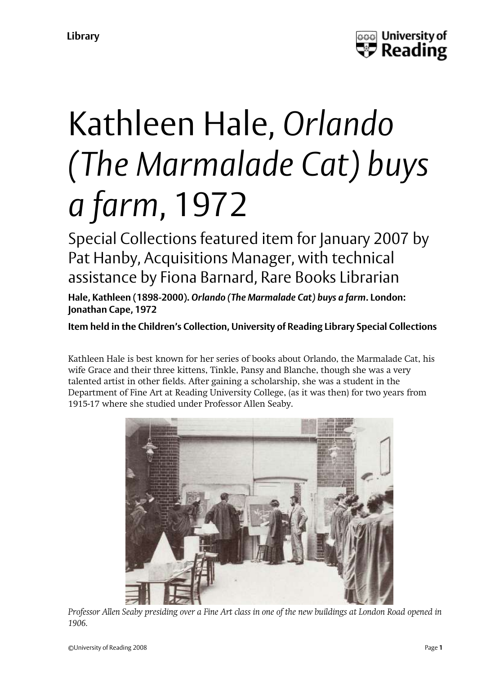

## Kathleen Hale, *Orlando (The Marmalade Cat) buys a farm*, 1972

Special Collections featured item for January 2007 by Pat Hanby, Acquisitions Manager, with technical assistance by Fiona Barnard, Rare Books Librarian

**Hale, Kathleen (1898-2000).** *Orlando (The Marmalade Cat) buys a farm***. London: Jonathan Cape, 1972**

**Item held in the Children's Collection, University of Reading Library Special Collections**

Kathleen Hale is best known for her series of books about Orlando, the Marmalade Cat, his wife Grace and their three kittens, Tinkle, Pansy and Blanche, though she was a very talented artist in other fields. After gaining a scholarship, she was a student in the Department of Fine Art at Reading University College, (as it was then) for two years from 1915-17 where she studied under Professor Allen Seaby.



*Professor Allen Seaby presiding over a Fine Art class in one of the new buildings at London Road opened in 1906.*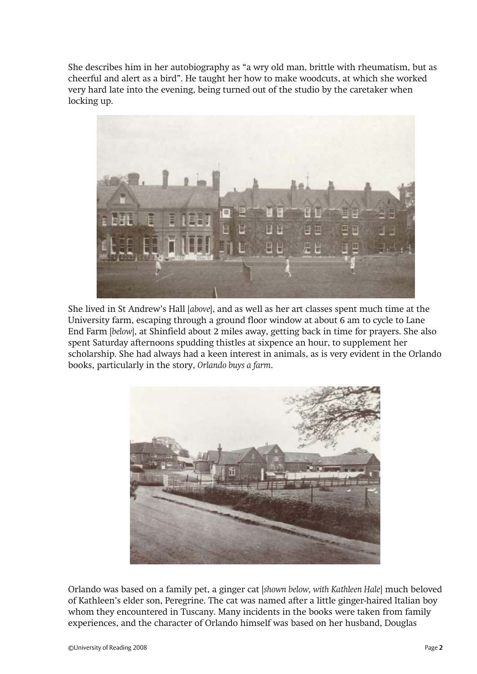She describes him in her autobiography as "a wry old man, brittle with rheumatism, but as cheerful and alert as a bird". He taught her how to make woodcuts, at which she worked very hard late into the evening, being turned out of the studio by the caretaker when locking up.



She lived in St Andrew's Hall [*above*], and as well as her art classes spent much time at the University farm, escaping through a ground floor window at about 6 am to cycle to Lane End Farm [*below*], at Shinfield about 2 miles away, getting back in time for prayers. She also spent Saturday afternoons spudding thistles at sixpence an hour, to supplement her scholarship. She had always had a keen interest in animals, as is very evident in the Orlando books, particularly in the story, *Orlando buys a farm*.



Orlando was based on a family pet, a ginger cat [*shown below, with Kathleen Hale*] much beloved of Kathleen's elder son, Peregrine. The cat was named after a little ginger-haired Italian boy whom they encountered in Tuscany. Many incidents in the books were taken from family experiences, and the character of Orlando himself was based on her husband, Douglas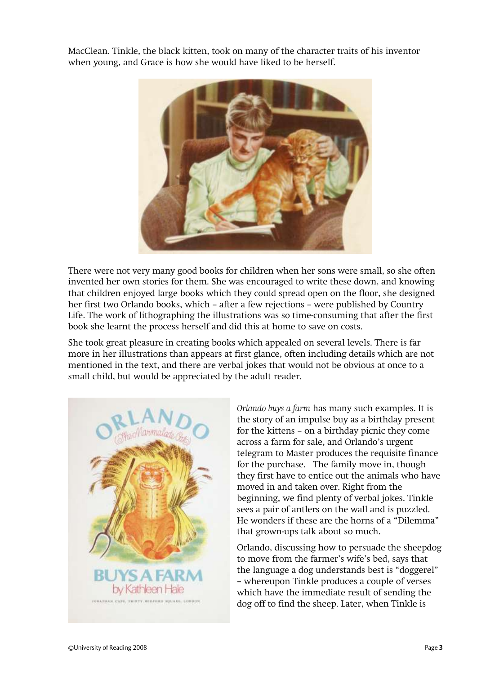MacClean. Tinkle, the black kitten, took on many of the character traits of his inventor when young, and Grace is how she would have liked to be herself.



There were not very many good books for children when her sons were small, so she often invented her own stories for them. She was encouraged to write these down, and knowing that children enjoyed large books which they could spread open on the floor, she designed her first two Orlando books, which – after a few rejections – were published by Country Life. The work of lithographing the illustrations was so time-consuming that after the first book she learnt the process herself and did this at home to save on costs.

She took great pleasure in creating books which appealed on several levels. There is far more in her illustrations than appears at first glance, often including details which are not mentioned in the text, and there are verbal jokes that would not be obvious at once to a small child, but would be appreciated by the adult reader.



*Orlando buys a farm* has many such examples. It is the story of an impulse buy as a birthday present for the kittens – on a birthday picnic they come across a farm for sale, and Orlando's urgent telegram to Master produces the requisite finance for the purchase. The family move in, though they first have to entice out the animals who have moved in and taken over. Right from the beginning, we find plenty of verbal jokes. Tinkle sees a pair of antlers on the wall and is puzzled. He wonders if these are the horns of a "Dilemma" that grown-ups talk about so much.

Orlando, discussing how to persuade the sheepdog to move from the farmer's wife's bed, says that the language a dog understands best is "doggerel" – whereupon Tinkle produces a couple of verses which have the immediate result of sending the dog off to find the sheep. Later, when Tinkle is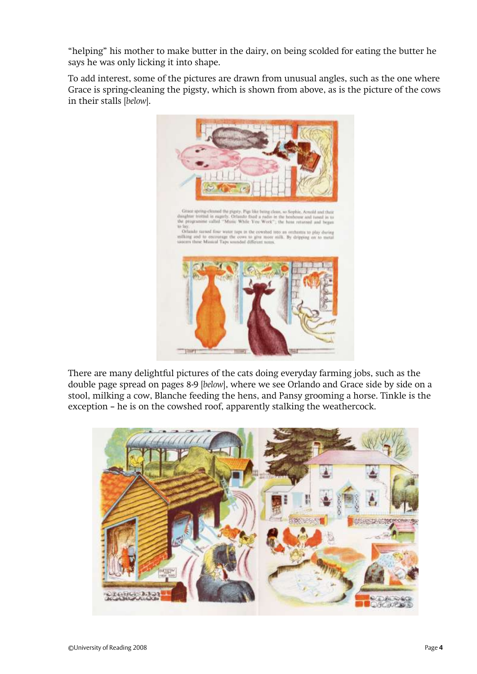"helping" his mother to make butter in the dairy, on being scolded for eating the butter he says he was only licking it into shape.

To add interest, some of the pictures are drawn from unusual angles, such as the one where Grace is spring-cleaning the pigsty, which is shown from above, as is the picture of the cows in their stalls [*below*].



There are many delightful pictures of the cats doing everyday farming jobs, such as the double page spread on pages 8-9 [*below*], where we see Orlando and Grace side by side on a stool, milking a cow, Blanche feeding the hens, and Pansy grooming a horse. Tinkle is the exception – he is on the cowshed roof, apparently stalking the weathercock.

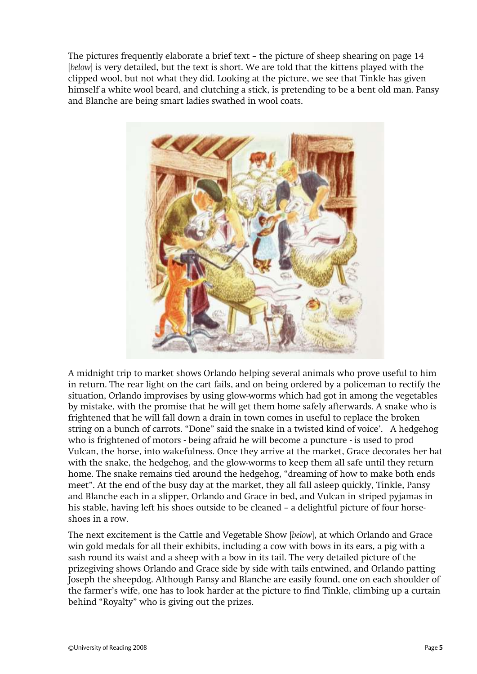The pictures frequently elaborate a brief text – the picture of sheep shearing on page 14 [*below*] is very detailed, but the text is short. We are told that the kittens played with the clipped wool, but not what they did. Looking at the picture, we see that Tinkle has given himself a white wool beard, and clutching a stick, is pretending to be a bent old man. Pansy and Blanche are being smart ladies swathed in wool coats.



A midnight trip to market shows Orlando helping several animals who prove useful to him in return. The rear light on the cart fails, and on being ordered by a policeman to rectify the situation, Orlando improvises by using glow-worms which had got in among the vegetables by mistake, with the promise that he will get them home safely afterwards. A snake who is frightened that he will fall down a drain in town comes in useful to replace the broken string on a bunch of carrots. "Done" said the snake in a twisted kind of voice'. A hedgehog who is frightened of motors - being afraid he will become a puncture - is used to prod Vulcan, the horse, into wakefulness. Once they arrive at the market, Grace decorates her hat with the snake, the hedgehog, and the glow-worms to keep them all safe until they return home. The snake remains tied around the hedgehog, "dreaming of how to make both ends meet". At the end of the busy day at the market, they all fall asleep quickly, Tinkle, Pansy and Blanche each in a slipper, Orlando and Grace in bed, and Vulcan in striped pyjamas in his stable, having left his shoes outside to be cleaned – a delightful picture of four horseshoes in a row.

The next excitement is the Cattle and Vegetable Show [*below*], at which Orlando and Grace win gold medals for all their exhibits, including a cow with bows in its ears, a pig with a sash round its waist and a sheep with a bow in its tail. The very detailed picture of the prizegiving shows Orlando and Grace side by side with tails entwined, and Orlando patting Joseph the sheepdog. Although Pansy and Blanche are easily found, one on each shoulder of the farmer's wife, one has to look harder at the picture to find Tinkle, climbing up a curtain behind "Royalty" who is giving out the prizes.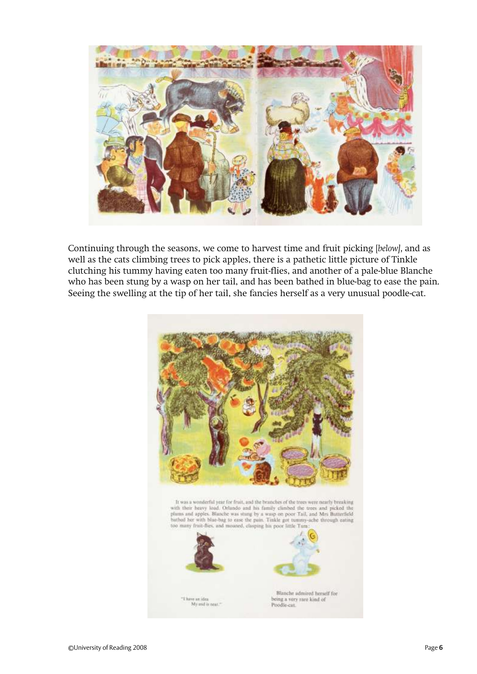

Continuing through the seasons, we come to harvest time and fruit picking [*below],* and as well as the cats climbing trees to pick apples, there is a pathetic little picture of Tinkle clutching his tummy having eaten too many fruit-flies, and another of a pale-blue Blanche who has been stung by a wasp on her tail, and has been bathed in blue-bag to ease the pain. Seeing the swelling at the tip of her tail, she fancies herself as a very unusual poodle-cat.

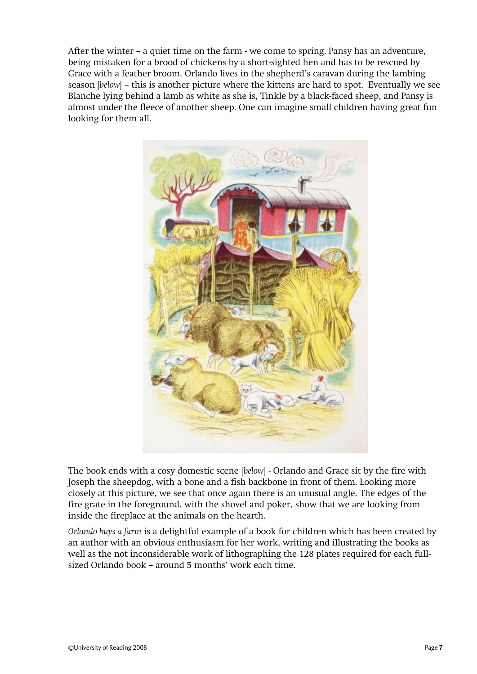After the winter – a quiet time on the farm - we come to spring. Pansy has an adventure, being mistaken for a brood of chickens by a short-sighted hen and has to be rescued by Grace with a feather broom. Orlando lives in the shepherd's caravan during the lambing season [*below*] – this is another picture where the kittens are hard to spot. Eventually we see Blanche lying behind a lamb as white as she is, Tinkle by a black-faced sheep, and Pansy is almost under the fleece of another sheep. One can imagine small children having great fun looking for them all.



The book ends with a cosy domestic scene [*below*] - Orlando and Grace sit by the fire with Joseph the sheepdog, with a bone and a fish backbone in front of them. Looking more closely at this picture, we see that once again there is an unusual angle. The edges of the fire grate in the foreground, with the shovel and poker, show that we are looking from inside the fireplace at the animals on the hearth.

*Orlando buys a farm* is a delightful example of a book for children which has been created by an author with an obvious enthusiasm for her work, writing and illustrating the books as well as the not inconsiderable work of lithographing the 128 plates required for each fullsized Orlando book – around 5 months' work each time.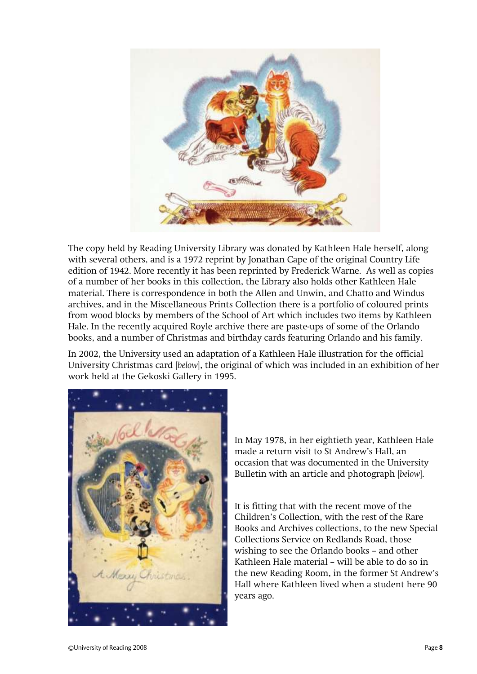

The copy held by Reading University Library was donated by Kathleen Hale herself, along with several others, and is a 1972 reprint by Jonathan Cape of the original Country Life edition of 1942. More recently it has been reprinted by Frederick Warne. As well as copies of a number of her books in this collection, the Library also holds other Kathleen Hale material. There is correspondence in both the Allen and Unwin, and Chatto and Windus archives, and in the Miscellaneous Prints Collection there is a portfolio of coloured prints from wood blocks by members of the School of Art which includes two items by Kathleen Hale. In the recently acquired Royle archive there are paste-ups of some of the Orlando books, and a number of Christmas and birthday cards featuring Orlando and his family.

In 2002, the University used an adaptation of a Kathleen Hale illustration for the official University Christmas card [*below*], the original of which was included in an exhibition of her work held at the Gekoski Gallery in 1995.



In May 1978, in her eightieth year, Kathleen Hale made a return visit to St Andrew's Hall, an occasion that was documented in the University Bulletin with an article and photograph [*below*].

It is fitting that with the recent move of the Children's Collection, with the rest of the Rare Books and Archives collections, to the new Special Collections Service on Redlands Road, those wishing to see the Orlando books – and other Kathleen Hale material – will be able to do so in the new Reading Room, in the former St Andrew's Hall where Kathleen lived when a student here 90 years ago.